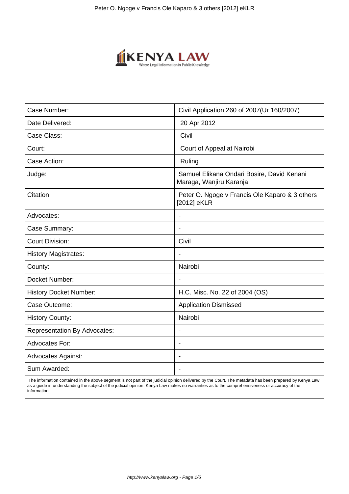

| Case Number:                        | Civil Application 260 of 2007(Ur 160/2007)                            |
|-------------------------------------|-----------------------------------------------------------------------|
| Date Delivered:                     | 20 Apr 2012                                                           |
| Case Class:                         | Civil                                                                 |
| Court:                              | Court of Appeal at Nairobi                                            |
| Case Action:                        | Ruling                                                                |
| Judge:                              | Samuel Elikana Ondari Bosire, David Kenani<br>Maraga, Wanjiru Karanja |
| Citation:                           | Peter O. Ngoge v Francis Ole Kaparo & 3 others<br>[2012] eKLR         |
| Advocates:                          |                                                                       |
| Case Summary:                       | $\overline{\phantom{a}}$                                              |
| <b>Court Division:</b>              | Civil                                                                 |
| <b>History Magistrates:</b>         |                                                                       |
| County:                             | Nairobi                                                               |
| Docket Number:                      | $\blacksquare$                                                        |
| <b>History Docket Number:</b>       | H.C. Misc. No. 22 of 2004 (OS)                                        |
| Case Outcome:                       | <b>Application Dismissed</b>                                          |
| <b>History County:</b>              | Nairobi                                                               |
| <b>Representation By Advocates:</b> | $\overline{\phantom{a}}$                                              |
| <b>Advocates For:</b>               | $\overline{\phantom{a}}$                                              |
| <b>Advocates Against:</b>           |                                                                       |
| Sum Awarded:                        | $\blacksquare$                                                        |

 The information contained in the above segment is not part of the judicial opinion delivered by the Court. The metadata has been prepared by Kenya Law as a guide in understanding the subject of the judicial opinion. Kenya Law makes no warranties as to the comprehensiveness or accuracy of the information.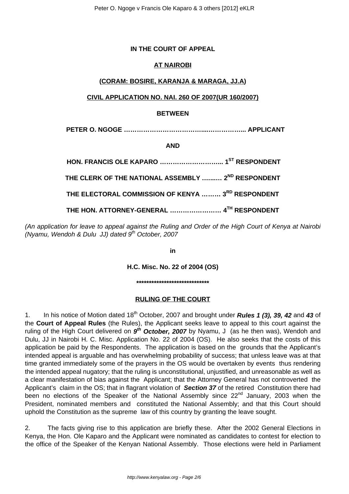# **IN THE COURT OF APPEAL**

# **AT NAIROBI**

#### **(CORAM: BOSIRE, KARANJA & MARAGA, JJ.A)**

#### **CIVIL APPLICATION NO. NAI. 260 OF 2007(UR 160/2007)**

#### **BETWEEN**

 **PETER O. NGOGE ………………………………....……………... APPLICANT**

**AND**

**HON. FRANCIS OLE KAPARO ………………………... 1ST RESPONDENT THE CLERK OF THE NATIONAL ASSEMBLY .…...… 2ND RESPONDENT THE ELECTORAL COMMISSION OF KENYA ……… 3RD RESPONDENT THE HON. ATTORNEY-GENERAL …………………… 4TH RESPONDENT**

(An application for leave to appeal against the Ruling and Order of the High Court of Kenya at Nairobi (Nyamu, Wendoh & Dulu JJ) dated  $9<sup>th</sup>$  October, 2007

**in**

**H.C. Misc. No. 22 of 2004 (OS)**

**\*\*\*\*\*\*\*\*\*\*\*\*\*\*\*\*\*\*\*\*\*\*\*\*\*\*\*\*\***

#### **RULING OF THE COURT**

1. In his notice of Motion dated 18th October, 2007 and brought under **Rules 1 (3), 39, 42** and **43** of the **Court of Appeal Rules** (the Rules), the Applicant seeks leave to appeal to this court against the ruling of the High Court delivered on  $9<sup>th</sup>$  October, 2007 by Nyamu, J (as he then was), Wendoh and Dulu, JJ in Nairobi H. C. Misc. Application No. 22 of 2004 (OS). He also seeks that the costs of this application be paid by the Respondents. The application is based on the grounds that the Applicant's intended appeal is arguable and has overwhelming probability of success; that unless leave was at that time granted immediately some of the prayers in the OS would be overtaken by events thus rendering the intended appeal nugatory; that the ruling is unconstitutional, unjustified, and unreasonable as well as a clear manifestation of bias against the Applicant; that the Attorney General has not controverted the Applicant's claim in the OS; that in flagrant violation of **Section 37** of the retired Constitution there had been no elections of the Speaker of the National Assembly since 22<sup>nd</sup> January, 2003 when the President, nominated members and constituted the National Assembly; and that this Court should uphold the Constitution as the supreme law of this country by granting the leave sought.

2. The facts giving rise to this application are briefly these. After the 2002 General Elections in Kenya, the Hon. Ole Kaparo and the Applicant were nominated as candidates to contest for election to the office of the Speaker of the Kenyan National Assembly. Those elections were held in Parliament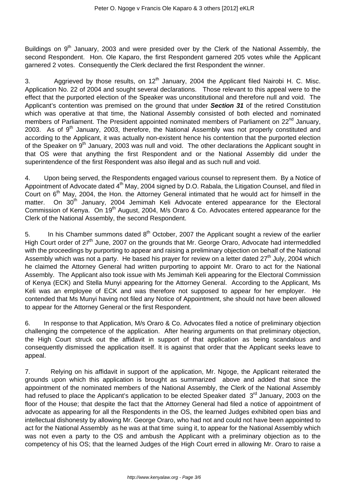Buildings on 9<sup>th</sup> January, 2003 and were presided over by the Clerk of the National Assembly, the second Respondent. Hon. Ole Kaparo, the first Respondent garnered 205 votes while the Applicant garnered 2 votes. Consequently the Clerk declared the first Respondent the winner.

3. Aggrieved by those results, on  $12<sup>th</sup>$  January, 2004 the Applicant filed Nairobi H. C. Misc. Application No. 22 of 2004 and sought several declarations. Those relevant to this appeal were to the effect that the purported election of the Speaker was unconstitutional and therefore null and void. The Applicant's contention was premised on the ground that under **Section 31** of the retired Constitution which was operative at that time, the National Assembly consisted of both elected and nominated members of Parliament. The President appointed nominated members of Parliament on 22<sup>nd</sup> January, 2003. As of  $9<sup>th</sup>$  January, 2003, therefore, the National Assembly was not properly constituted and according to the Applicant, it was actually non-existent hence his contention that the purported election of the Speaker on  $9<sup>th</sup>$  January, 2003 was null and void. The other declarations the Applicant sought in that OS were that anything the first Respondent and or the National Assembly did under the superintendence of the first Respondent was also illegal and as such null and void.

4. Upon being served, the Respondents engaged various counsel to represent them. By a Notice of Appointment of Advocate dated 4<sup>th</sup> May, 2004 signed by D.O. Rabala, the Litigation Counsel, and filed in Court on 6<sup>th</sup> May, 2004, the Hon. the Attorney General intimated that he would act for himself in the matter. On 30<sup>th</sup> January, 2004 Jemimah Keli Advocate entered appearance for the Electoral Commission of Kenya. On 19<sup>th</sup> August, 2004, M/s Oraro & Co. Advocates entered appearance for the Clerk of the National Assembly, the second Respondent.

5. In his Chamber summons dated  $8<sup>th</sup>$  October, 2007 the Applicant sought a review of the earlier High Court order of 27<sup>th</sup> June, 2007 on the grounds that Mr. George Oraro, Advocate had intermeddled with the proceedings by purporting to appear and raising a preliminary objection on behalf of the National Assembly which was not a party. He based his prayer for review on a letter dated 27<sup>th</sup> July, 2004 which he claimed the Attorney General had written purporting to appoint Mr. Oraro to act for the National Assembly. The Applicant also took issue with Ms Jemimah Keli appearing for the Electoral Commission of Kenya (ECK) and Stella Munyi appearing for the Attorney General. According to the Applicant, Ms Keli was an employee of ECK and was therefore not supposed to appear for her employer. He contended that Ms Munyi having not filed any Notice of Appointment, she should not have been allowed to appear for the Attorney General or the first Respondent.

6. In response to that Application, M/s Oraro & Co. Advocates filed a notice of preliminary objection challenging the competence of the application. After hearing arguments on that preliminary objection, the High Court struck out the affidavit in support of that application as being scandalous and consequently dismissed the application itself. It is against that order that the Applicant seeks leave to appeal.

7. Relying on his affidavit in support of the application, Mr. Ngoge, the Applicant reiterated the grounds upon which this application is brought as summarized above and added that since the appointment of the nominated members of the National Assembly, the Clerk of the National Assembly had refused to place the Applicant's application to be elected Speaker dated 3<sup>rd</sup> January, 2003 on the floor of the House; that despite the fact that the Attorney General had filed a notice of appointment of advocate as appearing for all the Respondents in the OS, the learned Judges exhibited open bias and intellectual dishonesty by allowing Mr. George Oraro, who had not and could not have been appointed to act for the National Assembly as he was at that time suing it, to appear for the National Assembly which was not even a party to the OS and ambush the Applicant with a preliminary objection as to the competency of his OS; that the learned Judges of the High Court erred in allowing Mr. Oraro to raise a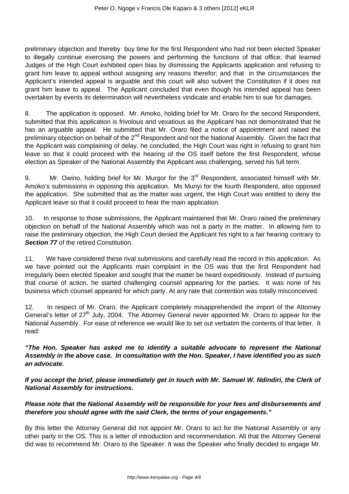preliminary objection and thereby buy time for the first Respondent who had not been elected Speaker to illegally continue exercising the powers and performing the functions of that office; that learned Judges of the High Court exhibited open bias by dismissing the Applicants application and refusing to grant him leave to appeal without assigning any reasons therefor; and that in the circumstances the Applicant's intended appeal is arguable and this court will also subvert the Constitution if it does not grant him leave to appeal. The Applicant concluded that even though his intended appeal has been overtaken by events its determination will nevertheless vindicate and enable him to sue for damages.

8. The application is opposed. Mr. Amoko, holding brief for Mr. Oraro for the second Respondent, submitted that this application is frivolous and vexatious as the Applicant has not demonstrated that he has an arguable appeal. He submitted that Mr. Oraro filed a notice of appointment and raised the preliminary objection on behalf of the 2<sup>nd</sup> Respondent and not the National Assembly. Given the fact that the Applicant was complaining of delay, he concluded, the High Court was right in refusing to grant him leave so that it could proceed with the hearing of the OS itself before the first Respondent, whose election as Speaker of the National Assembly the Applicant was challenging, served his full term.

9. Mr. Owino, holding brief for Mr. Murgor for the 3<sup>rd</sup> Respondent, associated himself with Mr. Amoko's submissions in opposing this application. Ms Munyi for the fourth Respondent, also opposed the application. She submitted that as the matter was urgent, the High Court was entitled to deny the Applicant leave so that it could proceed to hear the main application.

10. In response to those submissions, the Applicant maintained that Mr. Oraro raised the preliminary objection on behalf of the National Assembly which was not a party in the matter. In allowing him to raise the preliminary objection, the High Court denied the Applicant his right to a fair hearing contrary to **Section 77** of the retired Constitution.

11. We have considered these rival submissions and carefully read the record in this application. As we have pointed out the Applicants main complaint in the OS was that the first Respondent had irregularly been elected Speaker and sought that the matter be heard expeditiously. Instead of pursuing that course of action, he started challenging counsel appearing for the parties. It was none of his business which counsel appeared for which party. At any rate that contention was totally misconceived.

12. In respect of Mr. Oraro, the Applicant completely misapprehended the import of the Attorney General's letter of 27<sup>th</sup> July, 2004. The Attorney General never appointed Mr. Oraro to appear for the National Assembly. For ease of reference we would like to set out verbatim the contents of that letter. It read:

# **"The Hon. Speaker has asked me to identify a suitable advocate to represent the National Assembly in the above case. In consultation with the Hon. Speaker, I have identified you as such an advocate.**

**If you accept the brief, please immediately get in touch with Mr. Samuel W. Ndindiri, the Clerk of National Assembly for instructions.**

# **Please note that the National Assembly will be responsible for your fees and disbursements and therefore you should agree with the said Clerk, the terms of your engagements."**

By this letter the Attorney General did not appoint Mr. Oraro to act for the National Assembly or any other party in the OS. This is a letter of introduction and recommendation. All that the Attorney General did was to recommend Mr. Oraro to the Speaker. It was the Speaker who finally decided to engage Mr.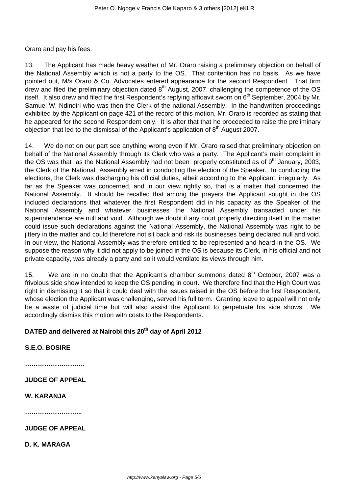Oraro and pay his fees.

13. The Applicant has made heavy weather of Mr. Oraro raising a preliminary objection on behalf of the National Assembly which is not a party to the OS. That contention has no basis. As we have pointed out, M/s Oraro & Co. Advocates entered appearance for the second Respondent. That firm drew and filed the preliminary objection dated  $8<sup>th</sup>$  August, 2007, challenging the competence of the OS itself. It also drew and filed the first Respondent's replying affidavit sworn on 6<sup>th</sup> September, 2004 by Mr. Samuel W. Ndindiri who was then the Clerk of the national Assembly. In the handwritten proceedings exhibited by the Applicant on page 421 of the record of this motion, Mr. Oraro is recorded as stating that he appeared for the second Respondent only. It is after that that he proceeded to raise the preliminary objection that led to the dismissal of the Applicant's application of  $8<sup>th</sup>$  August 2007.

14. We do not on our part see anything wrong even if Mr. Oraro raised that preliminary objection on behalf of the National Assembly through its Clerk who was a party. The Applicant's main complaint in the OS was that as the National Assembly had not been properly constituted as of  $9<sup>th</sup>$  January, 2003, the Clerk of the National Assembly erred in conducting the election of the Speaker. In conducting the elections, the Clerk was discharging his official duties, albeit according to the Applicant, irregularly. As far as the Speaker was concerned, and in our view rightly so, that is a matter that concerned the National Assembly. It should be recalled that among the prayers the Applicant sought in the OS included declarations that whatever the first Respondent did in his capacity as the Speaker of the National Assembly and whatever businesses the National Assembly transacted under his superintendence are null and void. Although we doubt if any court properly directing itself in the matter could issue such declarations against the National Assembly, the National Assembly was right to be jittery in the matter and could therefore not sit back and risk its businesses being declared null and void. In our view, the National Assembly was therefore entitled to be represented and heard in the OS. We suppose the reason why it did not apply to be joined in the OS is because its Clerk, in his official and not private capacity, was already a party and so it would ventilate its views through him.

15. We are in no doubt that the Applicant's chamber summons dated  $8<sup>th</sup>$  October, 2007 was a frivolous side show intended to keep the OS pending in court. We therefore find that the High Court was right in dismissing it so that it could deal with the issues raised in the OS before the first Respondent, whose election the Applicant was challenging, served his full term. Granting leave to appeal will not only be a waste of judicial time but will also assist the Applicant to perpetuate his side shows. We accordingly dismiss this motion with costs to the Respondents.

# **DATED and delivered at Nairobi this 20th day of April 2012**

**S.E.O. BOSIRE**

**……………………….**

**JUDGE OF APPEAL**

**W. KARANJA**

**……………………...**

**JUDGE OF APPEAL**

**D. K. MARAGA**